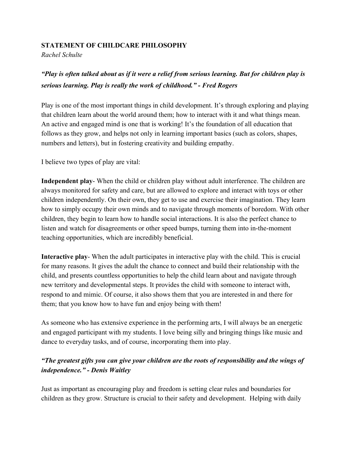## **STATEMENT OF CHILDCARE PHILOSOPHY**

*Rachel Schulte*

## *"Play is often talked about as if it were a relief from serious learning. But for children play is serious learning. Play is really the work of childhood." - Fred Rogers*

Play is one of the most important things in child development. It's through exploring and playing that children learn about the world around them; how to interact with it and what things mean. An active and engaged mind is one that is working! It's the foundation of all education that follows as they grow, and helps not only in learning important basics (such as colors, shapes, numbers and letters), but in fostering creativity and building empathy.

I believe two types of play are vital:

**Independent play**- When the child or children play without adult interference. The children are always monitored for safety and care, but are allowed to explore and interact with toys or other children independently. On their own, they get to use and exercise their imagination. They learn how to simply occupy their own minds and to navigate through moments of boredom. With other children, they begin to learn how to handle social interactions. It is also the perfect chance to listen and watch for disagreements or other speed bumps, turning them into in-the-moment teaching opportunities, which are incredibly beneficial.

**Interactive play**- When the adult participates in interactive play with the child. This is crucial for many reasons. It gives the adult the chance to connect and build their relationship with the child, and presents countless opportunities to help the child learn about and navigate through new territory and developmental steps. It provides the child with someone to interact with, respond to and mimic. Of course, it also shows them that you are interested in and there for them; that you know how to have fun and enjoy being with them!

As someone who has extensive experience in the performing arts, I will always be an energetic and engaged participant with my students. I love being silly and bringing things like music and dance to everyday tasks, and of course, incorporating them into play.

## *"The greatest gifts you can give your children are the roots of responsibility and the wings of independence." - Denis Waitley*

Just as important as encouraging play and freedom is setting clear rules and boundaries for children as they grow. Structure is crucial to their safety and development. Helping with daily